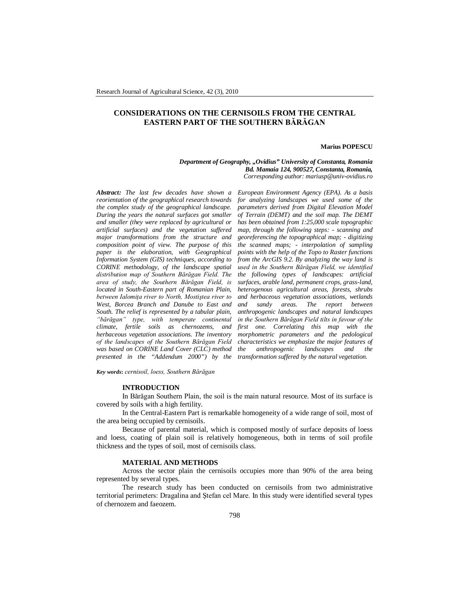# **CONSIDERATIONS ON THE CERNISOILS FROM THE CENTRAL EASTERN PART OF THE SOUTHERN BĂRĂGAN**

#### **Marius POPESCU**

*Department of Geography, "Ovidius" University of Constanta, Romania Bd. Mamaia 124, 900527, Constanta, Romania, Corresponding author: mariusp@univ-ovidius.ro*

*Abstract: The last few decades have shown a reorientation of the geographical research towards the complex study of the geographical landscape. During the years the natural surfaces got smaller and smaller (they were replaced by agricultural or artificial surfaces) and the vegetation suffered major transformations from the structure and composition point of view. The purpose of this paper is the elaboration, with Geographical Information System (GIS) techniques, according to CORINE methodology, of the landscape spatial distribution map of Southern Bărăgan Field. The area of study, the Southern Bărăgan Field, is located in South-Eastern part of Romanian Plain, between Ialomiţa river to North, Mostiştea river to West, Borcea Branch and Danube to East and South. The relief is represented by a tabular plain, "bărăgan" type, with temperate continental climate, fertile soils as chernozems, and herbaceous vegetation associations. The inventory of the landscapes of the Southern Bărăgan Field was based on CORINE Land Cover (CLC) method presented in the "Addendum 2000") by the* 

*European Environment Agency (EPA). As a basis for analyzing landscapes we used some of the parameters derived from Digital Elevation Model of Terrain (DEMT) and the soil map. The DEMT has been obtained from 1:25,000 scale topographic map, through the following steps: - scanning and georeferencing the topographical map; - digitizing the scanned maps; - interpolation of sampling points with the help of the Topo to Raster functions from the ArcGIS 9.2. By analyzing the way land is used in the Southern Bărăgan Field, we identified the following types of landscapes: artificial surfaces, arable land, permanent crops, grass-land, heterogenous agricultural areas, forests, shrubs and herbaceous vegetation associations, wetlands and sand setween hetween anthropogenic landscapes and natural landscapes in the Southern Bărăgan Field tilts in favour of the first one. Correlating this map with the morphometric parameters and the pedological characteristics we emphasize the major features of the anthropogenic landscapes and the transformation suffered by the natural vegetation.*

*Key words***:** *cernisoil, loess, Southern Bărăgan*

## **INTRODUCTION**

In Bărăgan Southern Plain, the soil is the main natural resource. Most of its surface is covered by soils with a high fertility.

In the Central-Eastern Part is remarkable homogeneity of a wide range of soil, most of the area being occupied by cernisoils.

Because of parental material, which is composed mostly of surface deposits of loess and loess, coating of plain soil is relatively homogeneous, both in terms of soil profile thickness and the types of soil, most of cernisoils class.

### **MATERIAL AND METHODS**

Across the sector plain the cernisoils occupies more than 90% of the area being represented by several types.

The research study has been conducted on cernisoils from two administrative territorial perimeters: Dragalina and Ştefan cel Mare. In this study were identified several types of chernozem and faeozem.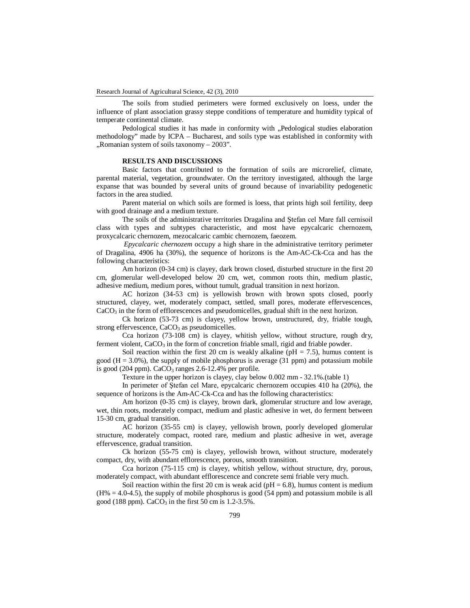The soils from studied perimeters were formed exclusively on loess, under the influence of plant association grassy steppe conditions of temperature and humidity typical of temperate continental climate.

Pedological studies it has made in conformity with "Pedological studies elaboration methodology" made by ICPA – Bucharest, and soils type was established in conformity with  $\mu$ Romanian system of soils taxonomy – 2003".

## **RESULTS AND DISCUSSIONS**

Basic factors that contributed to the formation of soils are microrelief, climate, parental material, vegetation, groundwater. On the territory investigated, although the large expanse that was bounded by several units of ground because of invariability pedogenetic factors in the area studied.

Parent material on which soils are formed is loess, that prints high soil fertility, deep with good drainage and a medium texture.

The soils of the administrative territories Dragalina and Ştefan cel Mare fall cernisoil class with types and subtypes characteristic, and most have epycalcaric chernozem, proxycalcaric chernozem, mezocalcaric cambic chernozem, faeozem.

*Epycalcaric chernozem* occupy a high share in the administrative territory perimeter of Dragalina, 4906 ha (30%), the sequence of horizons is the Am-AC-Ck-Cca and has the following characteristics:

Am horizon (0-34 cm) is clayey, dark brown closed, disturbed structure in the first 20 cm, glomerular well-developed below 20 cm, wet, common roots thin, medium plastic, adhesive medium, medium pores, without tumult, gradual transition in next horizon.

AC horizon (34-53 cm) is yellowish brown with brown spots closed, poorly structured, clayey, wet, moderately compact, settled, small pores, moderate effervescences, CaCO<sub>3</sub> in the form of efflorescences and pseudomicelles, gradual shift in the next horizon.

Ck horizon (53-73 cm) is clayey, yellow brown, unstructured, dry, friable tough, strong effervescence,  $CaCO<sub>3</sub>$  as pseudomicelles.

Cca horizon (73-108 cm) is clayey, whitish yellow, without structure, rough dry, ferment violent,  $CaCO<sub>3</sub>$  in the form of concretion friable small, rigid and friable powder.

Soil reaction within the first 20 cm is weakly alkaline ( $pH = 7.5$ ), humus content is good  $(H = 3.0\%)$ , the supply of mobile phosphorus is average  $(31 \text{ ppm})$  and potassium mobile is good (204 ppm).  $CaCO<sub>3</sub>$  ranges 2.6-12.4% per profile.

Texture in the upper horizon is clayey, clay below 0.002 mm - 32.1%.(table 1)

In perimeter of Ştefan cel Mare, epycalcaric chernozem occupies 410 ha (20%), the sequence of horizons is the Am-AC-Ck-Cca and has the following characteristics:

Am horizon (0-35 cm) is clayey, brown dark, glomerular structure and low average, wet, thin roots, moderately compact, medium and plastic adhesive in wet, do ferment between 15-30 cm, gradual transition.

AC horizon (35-55 cm) is clayey, yellowish brown, poorly developed glomerular structure, moderately compact, rooted rare, medium and plastic adhesive in wet, average effervescence, gradual transition.

Ck horizon (55-75 cm) is clayey, yellowish brown, without structure, moderately compact, dry, with abundant efflorescence, porous, smooth transition.

Cca horizon (75-115 cm) is clayey, whitish yellow, without structure, dry, porous, moderately compact, with abundant efflorescence and concrete semi friable very much.

Soil reaction within the first 20 cm is weak acid ( $pH = 6.8$ ), humus content is medium  $(H% = 4.0-4.5)$ , the supply of mobile phosphorus is good  $(54$  ppm) and potassium mobile is all good (188 ppm).  $CaCO<sub>3</sub>$  in the first 50 cm is 1.2-3.5%.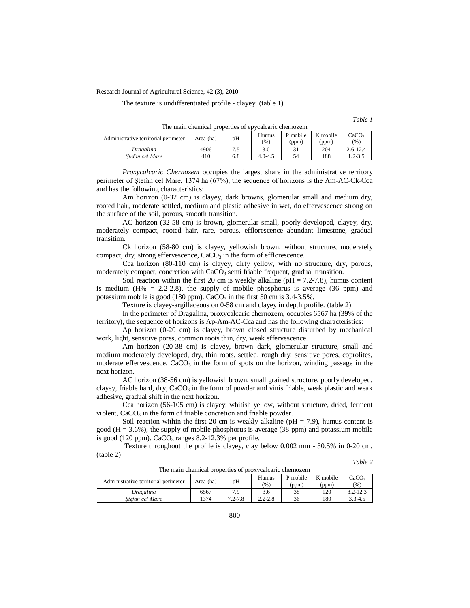Research Journal of Agricultural Science, 42 (3), 2010

The texture is undifferentiated profile - clayey. (table 1)

*Table 1*  $O<sub>3</sub>$ 

*Table 2*

| The main chemical properties of epycalcaric chernozem |           |    |              |                   |                   |                           |  |
|-------------------------------------------------------|-----------|----|--------------|-------------------|-------------------|---------------------------|--|
| Administrative territorial perimeter                  | Area (ha) | pН | Humus<br>(%) | P mobile<br>(ppm) | K mobile<br>(ppm) | CaCO <sub>3</sub><br>(% ) |  |
| Dragalina                                             | 4906      |    | 3.0          |                   | 204               | $2.6 - 12.4$              |  |

*Proxycalcaric Chernozem* occupies the largest share in the administrative territory perimeter of Ştefan cel Mare, 1374 ha (67%), the sequence of horizons is the Am-AC-Ck-Cca and has the following characteristics:

*Stefan cel Mare* 410 6.8 4.0-4.5 54 188 1.2-3.5

Am horizon (0-32 cm) is clayey, dark browns, glomerular small and medium dry, rooted hair, moderate settled, medium and plastic adhesive in wet, do effervescence strong on the surface of the soil, porous, smooth transition.

AC horizon (32-58 cm) is brown, glomerular small, poorly developed, clayey, dry, moderately compact, rooted hair, rare, porous, efflorescence abundant limestone, gradual transition.

Ck horizon (58-80 cm) is clayey, yellowish brown, without structure, moderately compact, dry, strong effervescence,  $CaCO<sub>3</sub>$  in the form of efflorescence.

Cca horizon (80-110 cm) is clayey, dirty yellow, with no structure, dry, porous, moderately compact, concretion with  $CaCO<sub>3</sub>$  semi friable frequent, gradual transition.

Soil reaction within the first 20 cm is weakly alkaline ( $pH = 7.2$ -7.8), humus content is medium  $(H% = 2.2-2.8)$ , the supply of mobile phosphorus is average (36 ppm) and potassium mobile is good (180 ppm).  $CaCO<sub>3</sub>$  in the first 50 cm is 3.4-3.5%.

Texture is clayey-argillaceous on 0-58 cm and clayey in depth profile. (table 2)

In the perimeter of Dragalina, proxycalcaric chernozem, occupies 6567 ha (39% of the territory), the sequence of horizons is Ap-Am-AC-Cca and has the following characteristics:

Ap horizon (0-20 cm) is clayey, brown closed structure disturbed by mechanical work, light, sensitive pores, common roots thin, dry, weak effervescence.

Am horizon (20-38 cm) is clayey, brown dark, glomerular structure, small and medium moderately developed, dry, thin roots, settled, rough dry, sensitive pores, coprolites, moderate effervescence,  $CaCO<sub>3</sub>$  in the form of spots on the horizon, winding passage in the next horizon.

AC horizon (38-56 cm) is yellowish brown, small grained structure, poorly developed, clayey, friable hard, dry,  $CaCO<sub>3</sub>$  in the form of powder and vinis friable, weak plastic and weak adhesive, gradual shift in the next horizon.

Cca horizon (56-105 cm) is clayey, whitish yellow, without structure, dried, ferment violent,  $CaCO<sub>3</sub>$  in the form of friable concretion and friable powder.

Soil reaction within the first 20 cm is weakly alkaline ( $pH = 7.9$ ), humus content is good  $(H = 3.6\%)$ , the supply of mobile phosphorus is average  $(38 \text{ ppm})$  and potassium mobile is good (120 ppm).  $CaCO<sub>3</sub>$  ranges 8.2-12.3% per profile.

Texture throughout the profile is clayey, clay below 0.002 mm - 30.5% in 0-20 cm. (table 2)

| The main chemical properties of proxycalcaric chemozent |           |             |               |                   |                   |                           |  |
|---------------------------------------------------------|-----------|-------------|---------------|-------------------|-------------------|---------------------------|--|
| Administrative territorial perimeter                    | Area (ha) | pH          | Humus<br>(% ) | P mobile<br>(ppm) | K mobile<br>(ppm) | CaCO <sub>3</sub><br>(% ) |  |
| Dragalina                                               | 6567      | 79          | 3.6           | 38                | 120               | $8.2 - 12.3$              |  |
| Stefan cel Mare                                         | 374       | $7.2 - 7.8$ | $2.2 - 2.8$   | 36                | 180               | $3.3 - 4.5$               |  |

The main chemical properties of proxycalcaric chernozem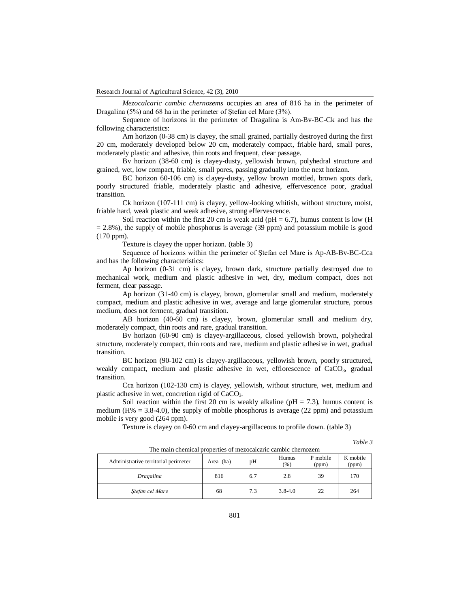*Mezocalcaric cambic chernozems* occupies an area of 816 ha in the perimeter of Dragalina (5%) and 68 ha in the perimeter of Ştefan cel Mare (3%).

Sequence of horizons in the perimeter of Dragalina is Am-Bv-BC-Ck and has the following characteristics:

Am horizon (0-38 cm) is clayey, the small grained, partially destroyed during the first 20 cm, moderately developed below 20 cm, moderately compact, friable hard, small pores, moderately plastic and adhesive, thin roots and frequent, clear passage.

Bv horizon (38-60 cm) is clayey-dusty, yellowish brown, polyhedral structure and grained, wet, low compact, friable, small pores, passing gradually into the next horizon.

BC horizon 60-106 cm) is clayey-dusty, yellow brown mottled, brown spots dark, poorly structured friable, moderately plastic and adhesive, effervescence poor, gradual transition.

Ck horizon (107-111 cm) is clayey, yellow-looking whitish, without structure, moist, friable hard, weak plastic and weak adhesive, strong effervescence.

Soil reaction within the first 20 cm is weak acid ( $pH = 6.7$ ), humus content is low (H)  $= 2.8\%$ ), the supply of mobile phosphorus is average (39 ppm) and potassium mobile is good (170 ppm).

Texture is clayey the upper horizon. (table 3)

Sequence of horizons within the perimeter of Ştefan cel Mare is Ap-AB-Bv-BC-Cca and has the following characteristics:

Ap horizon (0-31 cm) is clayey, brown dark, structure partially destroyed due to mechanical work, medium and plastic adhesive in wet, dry, medium compact, does not ferment, clear passage.

Ap horizon (31-40 cm) is clayey, brown, glomerular small and medium, moderately compact, medium and plastic adhesive in wet, average and large glomerular structure, porous medium, does not ferment, gradual transition.

AB horizon (40-60 cm) is clayey, brown, glomerular small and medium dry, moderately compact, thin roots and rare, gradual transition.

Bv horizon (60-90 cm) is clayey-argillaceous, closed yellowish brown, polyhedral structure, moderately compact, thin roots and rare, medium and plastic adhesive in wet, gradual transition.

BC horizon (90-102 cm) is clayey-argillaceous, yellowish brown, poorly structured, weakly compact, medium and plastic adhesive in wet, efflorescence of  $CaCO<sub>3</sub>$ , gradual transition.

Cca horizon (102-130 cm) is clayey, yellowish, without structure, wet, medium and plastic adhesive in wet, concretion rigid of CaCO3.

Soil reaction within the first 20 cm is weakly alkaline ( $pH = 7.3$ ), humus content is medium (H% = 3.8-4.0), the supply of mobile phosphorus is average (22 ppm) and potassium mobile is very good (264 ppm).

Texture is clayey on 0-60 cm and clayey-argillaceous to profile down. (table 3)

*Table 3*

| Administrative territorial perimeter | Area (ha) | pH  | Humus<br>$(\%)$ | P mobile<br>(ppm) | K mobile<br>(ppm) |
|--------------------------------------|-----------|-----|-----------------|-------------------|-------------------|
| Dragalina                            | 816       | 6.7 | 2.8             | 39                | 170               |
| Stefan cel Mare                      | 68        | 7.3 | $3.8 - 4.0$     | 22                | 264               |

The main chemical properties of mezocalcaric cambic chernozem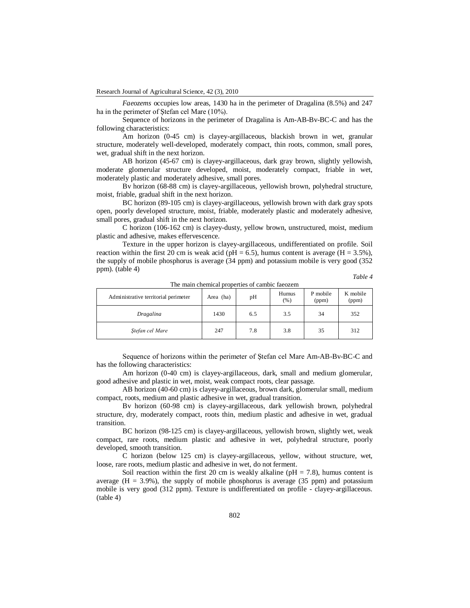*Faeozems* occupies low areas, 1430 ha in the perimeter of Dragalina (8.5%) and 247 ha in the perimeter of Ştefan cel Mare (10%).

Sequence of horizons in the perimeter of Dragalina is Am-AB-Bv-BC-C and has the following characteristics:

Am horizon (0-45 cm) is clayey-argillaceous, blackish brown in wet, granular structure, moderately well-developed, moderately compact, thin roots, common, small pores, wet, gradual shift in the next horizon.

AB horizon (45-67 cm) is clayey-argillaceous, dark gray brown, slightly yellowish, moderate glomerular structure developed, moist, moderately compact, friable in wet, moderately plastic and moderately adhesive, small pores.

Bv horizon (68-88 cm) is clayey-argillaceous, yellowish brown, polyhedral structure, moist, friable, gradual shift in the next horizon.

BC horizon (89-105 cm) is clayey-argillaceous, yellowish brown with dark gray spots open, poorly developed structure, moist, friable, moderately plastic and moderately adhesive, small pores, gradual shift in the next horizon.

C horizon (106-162 cm) is clayey-dusty, yellow brown, unstructured, moist, medium plastic and adhesive, makes effervescence.

Texture in the upper horizon is clayey-argillaceous, undifferentiated on profile. Soil reaction within the first 20 cm is weak acid ( $pH = 6.5$ ), humus content is average ( $H = 3.5\%$ ), the supply of mobile phosphorus is average (34 ppm) and potassium mobile is very good (352 ppm). (table 4)

*Table 4*

| Administrative territorial perimeter | Area (ha) | pH  | Humus<br>(% ) | P mobile<br>(ppm) | K mobile<br>(ppm) |
|--------------------------------------|-----------|-----|---------------|-------------------|-------------------|
| Dragalina                            | 1430      | 6.5 | 3.5           | 34                | 352               |
| Stefan cel Mare                      | 247       | 7.8 | 3.8           | 35                | 312               |

The main chemical properties of cambic faeozem

Sequence of horizons within the perimeter of Ştefan cel Mare Am-AB-Bv-BC-C and has the following characteristics:

Am horizon (0-40 cm) is clayey-argillaceous, dark, small and medium glomerular, good adhesive and plastic in wet, moist, weak compact roots, clear passage.

AB horizon (40-60 cm) is clayey-argillaceous, brown dark, glomerular small, medium compact, roots, medium and plastic adhesive in wet, gradual transition.

Bv horizon (60-98 cm) is clayey-argillaceous, dark yellowish brown, polyhedral structure, dry, moderately compact, roots thin, medium plastic and adhesive in wet, gradual transition.

BC horizon (98-125 cm) is clayey-argillaceous, yellowish brown, slightly wet, weak compact, rare roots, medium plastic and adhesive in wet, polyhedral structure, poorly developed, smooth transition.

C horizon (below 125 cm) is clayey-argillaceous, yellow, without structure, wet, loose, rare roots, medium plastic and adhesive in wet, do not ferment.

Soil reaction within the first 20 cm is weakly alkaline ( $pH = 7.8$ ), humus content is average  $(H = 3.9\%)$ , the supply of mobile phosphorus is average (35 ppm) and potassium mobile is very good (312 ppm). Texture is undifferentiated on profile - clayey-argillaceous. (table 4)